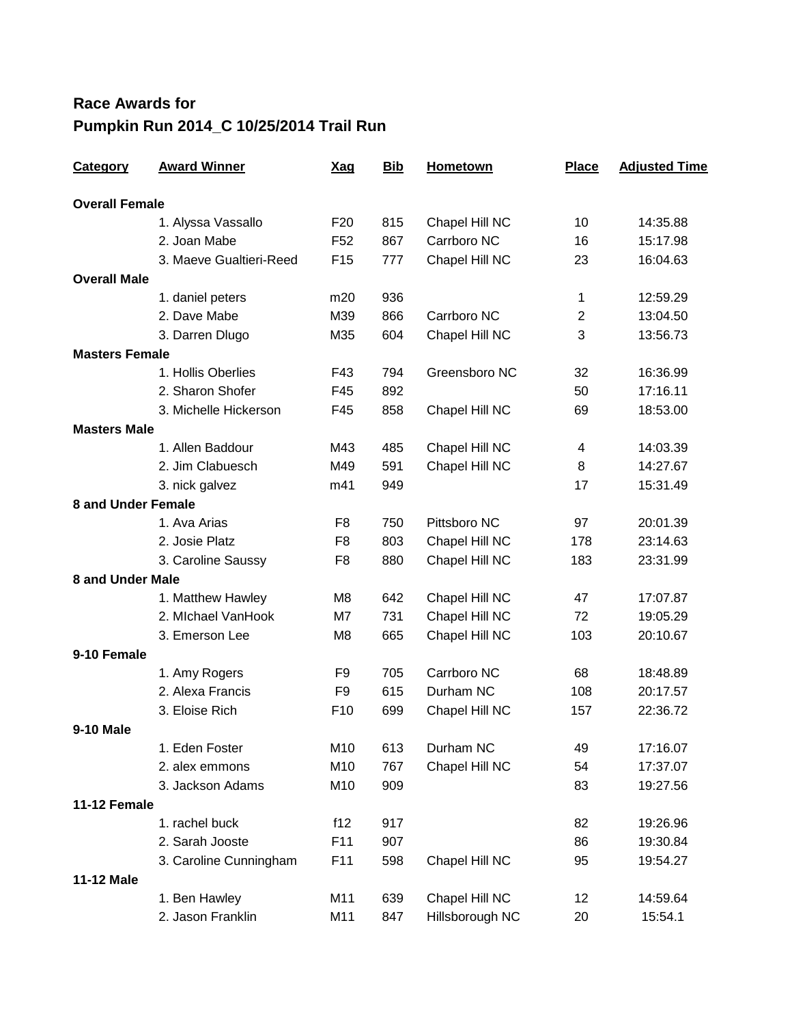## **Race Awards for Pumpkin Run 2014\_C 10/25/2014 Trail Run**

| <b>Category</b>           | <b>Award Winner</b>     | <u>Xag</u>      | <b>Bib</b> | <b>Hometown</b> | <b>Place</b>   | <b>Adjusted Time</b> |
|---------------------------|-------------------------|-----------------|------------|-----------------|----------------|----------------------|
| <b>Overall Female</b>     |                         |                 |            |                 |                |                      |
|                           | 1. Alyssa Vassallo      | F <sub>20</sub> | 815        | Chapel Hill NC  | 10             | 14:35.88             |
|                           | 2. Joan Mabe            | F <sub>52</sub> | 867        | Carrboro NC     | 16             | 15:17.98             |
|                           | 3. Maeve Gualtieri-Reed | F <sub>15</sub> | 777        | Chapel Hill NC  | 23             | 16:04.63             |
| <b>Overall Male</b>       |                         |                 |            |                 |                |                      |
|                           | 1. daniel peters        | m20             | 936        |                 | 1              | 12:59.29             |
|                           | 2. Dave Mabe            | M39             | 866        | Carrboro NC     | $\overline{c}$ | 13:04.50             |
|                           | 3. Darren Dlugo         | M35             | 604        | Chapel Hill NC  | 3              | 13:56.73             |
| <b>Masters Female</b>     |                         |                 |            |                 |                |                      |
|                           | 1. Hollis Oberlies      | F43             | 794        | Greensboro NC   | 32             | 16:36.99             |
|                           | 2. Sharon Shofer        | F45             | 892        |                 | 50             | 17:16.11             |
|                           | 3. Michelle Hickerson   | F45             | 858        | Chapel Hill NC  | 69             | 18:53.00             |
| <b>Masters Male</b>       |                         |                 |            |                 |                |                      |
|                           | 1. Allen Baddour        | M43             | 485        | Chapel Hill NC  | 4              | 14:03.39             |
|                           | 2. Jim Clabuesch        | M49             | 591        | Chapel Hill NC  | 8              | 14:27.67             |
|                           | 3. nick galvez          | m41             | 949        |                 | 17             | 15:31.49             |
| <b>8 and Under Female</b> |                         |                 |            |                 |                |                      |
|                           | 1. Ava Arias            | F <sub>8</sub>  | 750        | Pittsboro NC    | 97             | 20:01.39             |
|                           | 2. Josie Platz          | F8              | 803        | Chapel Hill NC  | 178            | 23:14.63             |
|                           | 3. Caroline Saussy      | F8              | 880        | Chapel Hill NC  | 183            | 23:31.99             |
| <b>8 and Under Male</b>   |                         |                 |            |                 |                |                      |
|                           | 1. Matthew Hawley       | M <sub>8</sub>  | 642        | Chapel Hill NC  | 47             | 17:07.87             |
|                           | 2. Michael VanHook      | M7              | 731        | Chapel Hill NC  | 72             | 19:05.29             |
|                           | 3. Emerson Lee          | M <sub>8</sub>  | 665        | Chapel Hill NC  | 103            | 20:10.67             |
| 9-10 Female               |                         |                 |            |                 |                |                      |
|                           | 1. Amy Rogers           | F <sub>9</sub>  | 705        | Carrboro NC     | 68             | 18:48.89             |
|                           | 2. Alexa Francis        | F <sub>9</sub>  | 615        | Durham NC       | 108            | 20:17.57             |
|                           | 3. Eloise Rich          | F <sub>10</sub> | 699        | Chapel Hill NC  | 157            | 22:36.72             |
| <b>9-10 Male</b>          |                         |                 |            |                 |                |                      |
|                           | 1. Eden Foster          | M10             | 613        | Durham NC       | 49             | 17:16.07             |
|                           | 2. alex emmons          | M10             | 767        | Chapel Hill NC  | 54             | 17:37.07             |
|                           | 3. Jackson Adams        | M10             | 909        |                 | 83             | 19:27.56             |
| 11-12 Female              |                         |                 |            |                 |                |                      |
|                           | 1. rachel buck          | f12             | 917        |                 | 82             | 19:26.96             |
|                           | 2. Sarah Jooste         | F11             | 907        |                 | 86             | 19:30.84             |
|                           | 3. Caroline Cunningham  | F <sub>11</sub> | 598        | Chapel Hill NC  | 95             | 19:54.27             |
| 11-12 Male                |                         |                 |            |                 |                |                      |
|                           | 1. Ben Hawley           | M11             | 639        | Chapel Hill NC  | 12             | 14:59.64             |
|                           | 2. Jason Franklin       | M11             | 847        | Hillsborough NC | 20             | 15:54.1              |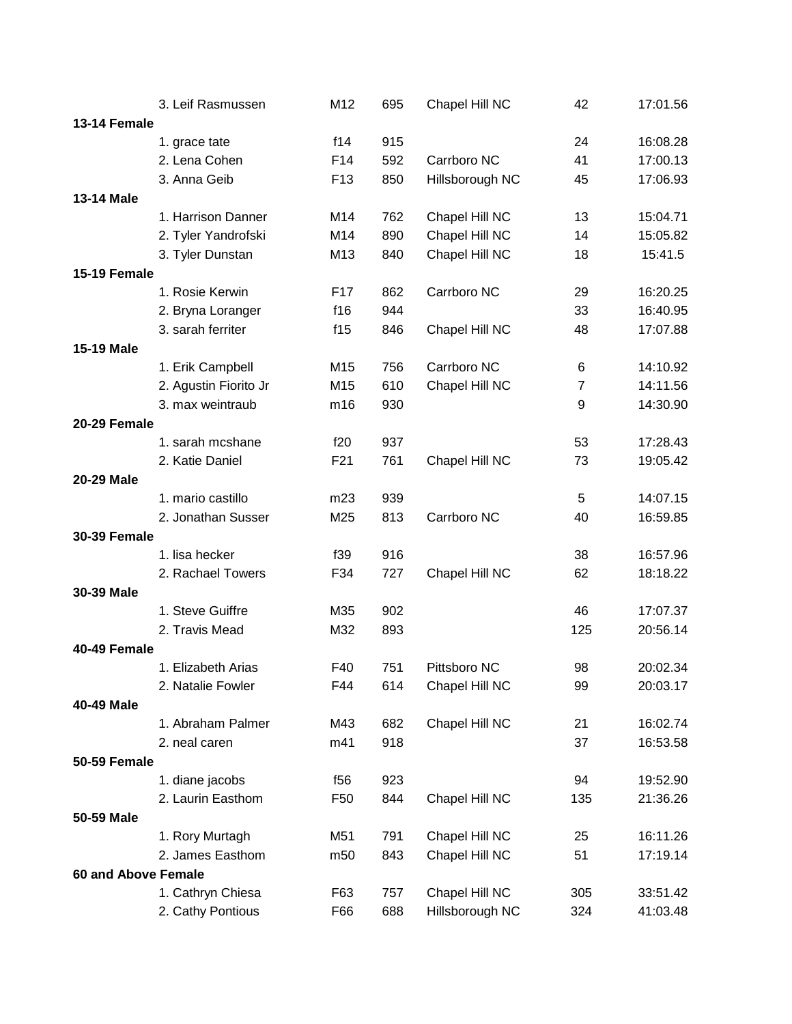|                            | 3. Leif Rasmussen     | M12             | 695 | Chapel Hill NC  | 42             | 17:01.56 |
|----------------------------|-----------------------|-----------------|-----|-----------------|----------------|----------|
| <b>13-14 Female</b>        |                       |                 |     |                 |                |          |
|                            | 1. grace tate         | f14             | 915 |                 | 24             | 16:08.28 |
|                            | 2. Lena Cohen         | F14             | 592 | Carrboro NC     | 41             | 17:00.13 |
|                            | 3. Anna Geib          | F <sub>13</sub> | 850 | Hillsborough NC | 45             | 17:06.93 |
| <b>13-14 Male</b>          |                       |                 |     |                 |                |          |
|                            | 1. Harrison Danner    | M14             | 762 | Chapel Hill NC  | 13             | 15:04.71 |
|                            | 2. Tyler Yandrofski   | M14             | 890 | Chapel Hill NC  | 14             | 15:05.82 |
|                            | 3. Tyler Dunstan      | M13             | 840 | Chapel Hill NC  | 18             | 15:41.5  |
| 15-19 Female               |                       |                 |     |                 |                |          |
|                            | 1. Rosie Kerwin       | F17             | 862 | Carrboro NC     | 29             | 16:20.25 |
|                            | 2. Bryna Loranger     | f16             | 944 |                 | 33             | 16:40.95 |
|                            | 3. sarah ferriter     | f15             | 846 | Chapel Hill NC  | 48             | 17:07.88 |
| <b>15-19 Male</b>          |                       |                 |     |                 |                |          |
|                            | 1. Erik Campbell      | M15             | 756 | Carrboro NC     | 6              | 14:10.92 |
|                            | 2. Agustin Fiorito Jr | M15             | 610 | Chapel Hill NC  | $\overline{7}$ | 14:11.56 |
|                            | 3. max weintraub      | m16             | 930 |                 | 9              | 14:30.90 |
| 20-29 Female               |                       |                 |     |                 |                |          |
|                            | 1. sarah mcshane      | f20             | 937 |                 | 53             | 17:28.43 |
|                            | 2. Katie Daniel       | F21             | 761 | Chapel Hill NC  | 73             | 19:05.42 |
| 20-29 Male                 |                       |                 |     |                 |                |          |
|                            | 1. mario castillo     | m23             | 939 |                 | 5              | 14:07.15 |
|                            | 2. Jonathan Susser    | M25             | 813 | Carrboro NC     | 40             | 16:59.85 |
| <b>30-39 Female</b>        |                       |                 |     |                 |                |          |
|                            | 1. lisa hecker        | f39             | 916 |                 | 38             | 16:57.96 |
|                            | 2. Rachael Towers     | F34             | 727 | Chapel Hill NC  | 62             | 18:18.22 |
| 30-39 Male                 |                       |                 |     |                 |                |          |
|                            | 1. Steve Guiffre      | M35             | 902 |                 | 46             | 17:07.37 |
|                            | 2. Travis Mead        | M32             | 893 |                 | 125            | 20:56.14 |
| 40-49 Female               |                       |                 |     |                 |                |          |
|                            | 1. Elizabeth Arias    | F40             | 751 | Pittsboro NC    | 98             | 20:02.34 |
|                            | 2. Natalie Fowler     | F44             | 614 | Chapel Hill NC  | 99             | 20:03.17 |
| 40-49 Male                 |                       |                 |     |                 |                |          |
|                            | 1. Abraham Palmer     | M43             | 682 | Chapel Hill NC  | 21             | 16:02.74 |
|                            | 2. neal caren         | m41             | 918 |                 | 37             | 16:53.58 |
| <b>50-59 Female</b>        |                       |                 |     |                 |                |          |
|                            | 1. diane jacobs       | f56             | 923 |                 | 94             | 19:52.90 |
|                            | 2. Laurin Easthom     | F50             | 844 | Chapel Hill NC  | 135            | 21:36.26 |
| 50-59 Male                 |                       |                 |     |                 |                |          |
|                            | 1. Rory Murtagh       | M51             | 791 | Chapel Hill NC  | 25             | 16:11.26 |
|                            | 2. James Easthom      | m50             | 843 | Chapel Hill NC  | 51             | 17:19.14 |
| <b>60 and Above Female</b> |                       |                 |     |                 |                |          |
|                            | 1. Cathryn Chiesa     | F63             | 757 | Chapel Hill NC  | 305            | 33:51.42 |
|                            | 2. Cathy Pontious     | F66             | 688 | Hillsborough NC | 324            | 41:03.48 |
|                            |                       |                 |     |                 |                |          |